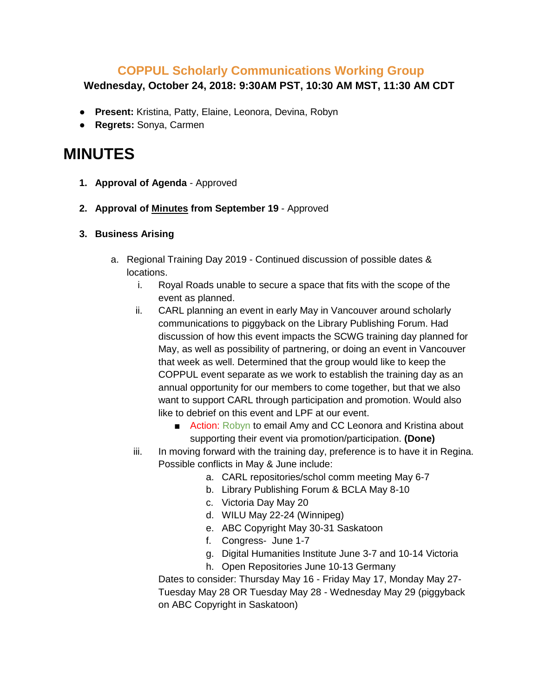## **COPPUL Scholarly Communications Working Group**

## **Wednesday, October 24, 2018: 9:30AM PST, 10:30 AM MST, 11:30 AM CDT**

- **Present:** Kristina, Patty, Elaine, Leonora, Devina, Robyn
- **Regrets:** Sonya, Carmen

## **MINUTES**

- **1. Approval of Agenda** Approved
- **2. Approval of Minutes from September 19**  Approved
- **3. Business Arising**
	- a. Regional Training Day 2019 Continued discussion of possible dates & locations.
		- i. Royal Roads unable to secure a space that fits with the scope of the event as planned.
		- ii. CARL planning an event in early May in Vancouver around scholarly communications to piggyback on the Library Publishing Forum. Had discussion of how this event impacts the SCWG training day planned for May, as well as possibility of partnering, or doing an event in Vancouver that week as well. Determined that the group would like to keep the COPPUL event separate as we work to establish the training day as an annual opportunity for our members to come together, but that we also want to support CARL through participation and promotion. Would also like to debrief on this event and LPF at our event.
			- Action: Robyn to email Amy and CC Leonora and Kristina about supporting their event via promotion/participation. **(Done)**
		- iii. In moving forward with the training day, preference is to have it in Regina. Possible conflicts in May & June include:
			- a. CARL repositories/schol comm meeting May 6-7
			- b. Library Publishing Forum & BCLA May 8-10
			- c. Victoria Day May 20
			- d. WILU May 22-24 (Winnipeg)
			- e. ABC Copyright May 30-31 Saskatoon
			- f. Congress- June 1-7
			- g. Digital Humanities Institute June 3-7 and 10-14 Victoria
			- h. Open Repositories June 10-13 Germany

Dates to consider: Thursday May 16 - Friday May 17, Monday May 27- Tuesday May 28 OR Tuesday May 28 - Wednesday May 29 (piggyback on ABC Copyright in Saskatoon)